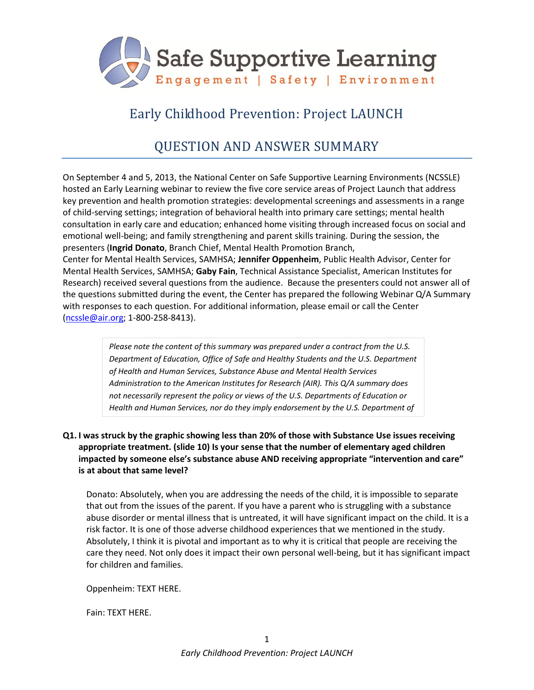

# Early Childhood Prevention: Project LAUNCH

# QUESTION AND ANSWER SUMMARY

On September 4 and 5, 2013, the National Center on Safe Supportive Learning Environments (NCSSLE) hosted an Early Learning webinar to review the five core service areas of Project Launch that address key prevention and health promotion strategies: developmental screenings and assessments in a range of child-serving settings; integration of behavioral health into primary care settings; mental health consultation in early care and education; enhanced home visiting through increased focus on social and emotional well-being; and family strengthening and parent skills training. During the session, the presenters (**Ingrid Donato**, Branch Chief, Mental Health Promotion Branch,

Center for Mental Health Services, SAMHSA; **Jennifer Oppenheim**, Public Health Advisor, Center for Mental Health Services, SAMHSA; **Gaby Fain**, Technical Assistance Specialist, American Institutes for Research) received several questions from the audience. Because the presenters could not answer all of the questions submitted during the event, the Center has prepared the following Webinar Q/A Summary with responses to each question. For additional information, please email or call the Center [\(ncssle@air.org;](mailto:ncssle@air.org) 1-800-258-8413).

> *Please note the content of this summary was prepared under a contract from the U.S. Department of Education, Office of Safe and Healthy Students and the U.S. Department of Health and Human Services, Substance Abuse and Mental Health Services Administration to the American Institutes for Research (AIR). This Q/A summary does not necessarily represent the policy or views of the U.S. Departments of Education or Health and Human Services, nor do they imply endorsement by the U.S. Department of*

## **Q1. I was struck by the graphic showing less than 20% of those with Substance Use issues receiving appropriate treatment. (slide 10) Is your sense that the number of elementary aged children impacted by someone else's substance abuse AND receiving appropriate "intervention and care" is at about that same level?**

Donato: Absolutely, when you are addressing the needs of the child, it is impossible to separate that out from the issues of the parent. If you have a parent who is struggling with a substance abuse disorder or mental illness that is untreated, it will have significant impact on the child. It is a risk factor. It is one of those adverse childhood experiences that we mentioned in the study. Absolutely, I think it is pivotal and important as to why it is critical that people are receiving the care they need. Not only does it impact their own personal well-being, but it has significant impact for children and families.

Oppenheim: TEXT HERE.

Fain: TEXT HERE.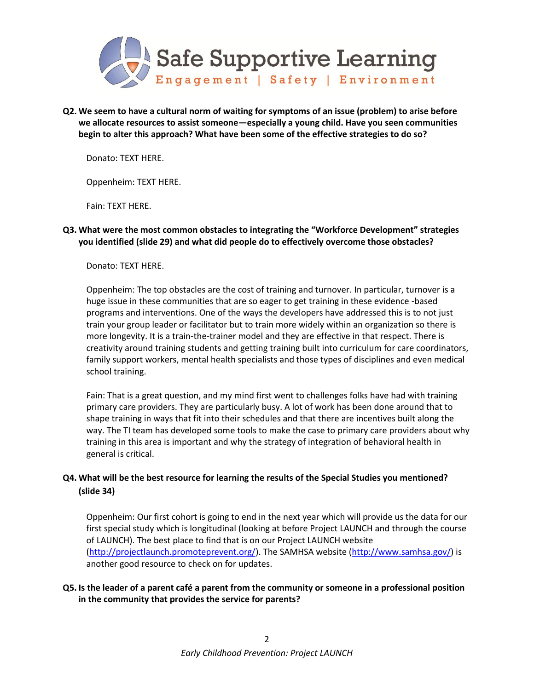

**Q2. We seem to have a cultural norm of waiting for symptoms of an issue (problem) to arise before we allocate resources to assist someone—especially a young child. Have you seen communities begin to alter this approach? What have been some of the effective strategies to do so?**

Donato: TEXT HERE.

Oppenheim: TEXT HERE.

Fain: TEXT HERE.

## **Q3. What were the most common obstacles to integrating the "Workforce Development" strategies you identified (slide 29) and what did people do to effectively overcome those obstacles?**

Donato: TEXT HERE.

Oppenheim: The top obstacles are the cost of training and turnover. In particular, turnover is a huge issue in these communities that are so eager to get training in these evidence -based programs and interventions. One of the ways the developers have addressed this is to not just train your group leader or facilitator but to train more widely within an organization so there is more longevity. It is a train-the-trainer model and they are effective in that respect. There is creativity around training students and getting training built into curriculum for care coordinators, family support workers, mental health specialists and those types of disciplines and even medical school training.

Fain: That is a great question, and my mind first went to challenges folks have had with training primary care providers. They are particularly busy. A lot of work has been done around that to shape training in ways that fit into their schedules and that there are incentives built along the way. The TI team has developed some tools to make the case to primary care providers about why training in this area is important and why the strategy of integration of behavioral health in general is critical.

# **Q4. What will be the best resource for learning the results of the Special Studies you mentioned? (slide 34)**

Oppenheim: Our first cohort is going to end in the next year which will provide us the data for our first special study which is longitudinal (looking at before Project LAUNCH and through the course of LAUNCH). The best place to find that is on our Project LAUNCH website [\(http://projectlaunch.promoteprevent.org/\)](http://projectlaunch.promoteprevent.org/). The SAMHSA website [\(http://www.samhsa.gov/\)](http://www.samhsa.gov/) is another good resource to check on for updates.

## **Q5. Is the leader of a parent café a parent from the community or someone in a professional position in the community that provides the service for parents?**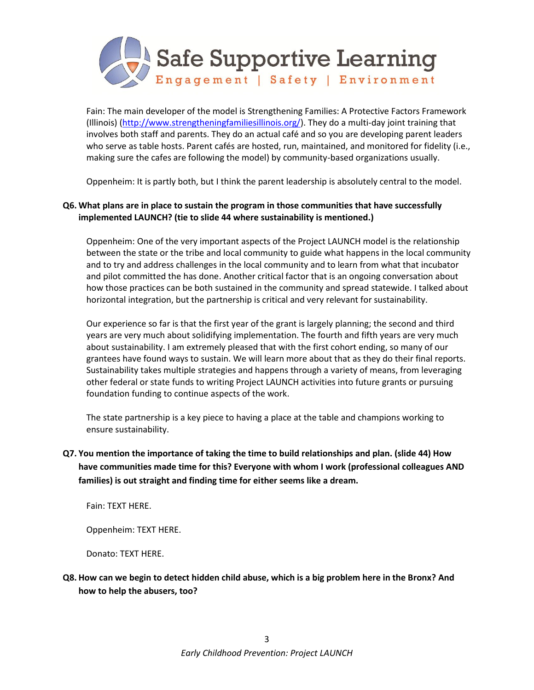

Fain: The main developer of the model is Strengthening Families: A Protective Factors Framework (Illinois) [\(http://www.strengtheningfamiliesillinois.org/\)](http://www.strengtheningfamiliesillinois.org/). They do a multi-day joint training that involves both staff and parents. They do an actual café and so you are developing parent leaders who serve as table hosts. Parent cafés are hosted, run, maintained, and monitored for fidelity (i.e., making sure the cafes are following the model) by community-based organizations usually.

Oppenheim: It is partly both, but I think the parent leadership is absolutely central to the model.

## **Q6. What plans are in place to sustain the program in those communities that have successfully implemented LAUNCH? (tie to slide 44 where sustainability is mentioned.)**

Oppenheim: One of the very important aspects of the Project LAUNCH model is the relationship between the state or the tribe and local community to guide what happens in the local community and to try and address challenges in the local community and to learn from what that incubator and pilot committed the has done. Another critical factor that is an ongoing conversation about how those practices can be both sustained in the community and spread statewide. I talked about horizontal integration, but the partnership is critical and very relevant for sustainability.

Our experience so far is that the first year of the grant is largely planning; the second and third years are very much about solidifying implementation. The fourth and fifth years are very much about sustainability. I am extremely pleased that with the first cohort ending, so many of our grantees have found ways to sustain. We will learn more about that as they do their final reports. Sustainability takes multiple strategies and happens through a variety of means, from leveraging other federal or state funds to writing Project LAUNCH activities into future grants or pursuing foundation funding to continue aspects of the work.

The state partnership is a key piece to having a place at the table and champions working to ensure sustainability.

# **Q7. You mention the importance of taking the time to build relationships and plan. (slide 44) How have communities made time for this? Everyone with whom I work (professional colleagues AND families) is out straight and finding time for either seems like a dream.**

Fain: TEXT HERE.

Oppenheim: TEXT HERE.

Donato: TEXT HERE.

**Q8. How can we begin to detect hidden child abuse, which is a big problem here in the Bronx? And how to help the abusers, too?**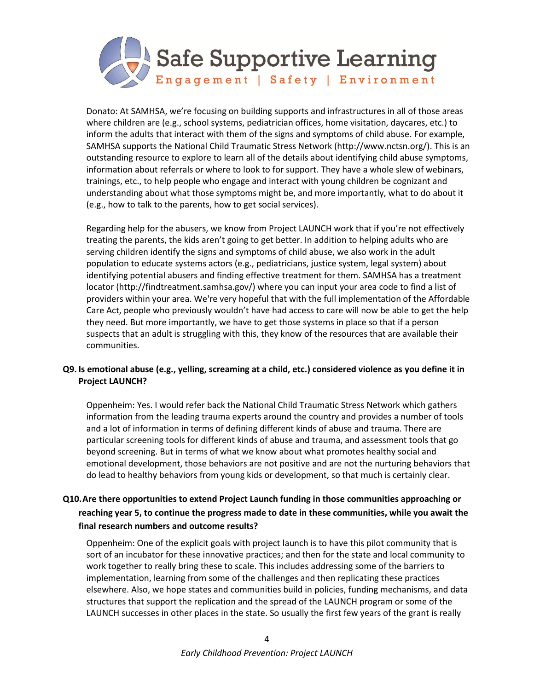

Donato: At SAMHSA, we're focusing on building supports and infrastructures in all of those areas where children are (e.g., school systems, pediatrician offices, home visitation, daycares, etc.) to inform the adults that interact with them of the signs and symptoms of child abuse. For example, SAMHSA supports the National Child Traumatic Stress Network (http://www.nctsn.org/). This is an outstanding resource to explore to learn all of the details about identifying child abuse symptoms, information about referrals or where to look to for support. They have a whole slew of webinars, trainings, etc., to help people who engage and interact with young children be cognizant and understanding about what those symptoms might be, and more importantly, what to do about it (e.g., how to talk to the parents, how to get social services).

Regarding help for the abusers, we know from Project LAUNCH work that if you're not effectively treating the parents, the kids aren't going to get better. In addition to helping adults who are serving children identify the signs and symptoms of child abuse, we also work in the adult population to educate systems actors (e.g., pediatricians, justice system, legal system) about identifying potential abusers and finding effective treatment for them. SAMHSA has a treatment locator (http://findtreatment.samhsa.gov/) where you can input your area code to find a list of providers within your area. We're very hopeful that with the full implementation of the Affordable Care Act, people who previously wouldn't have had access to care will now be able to get the help they need. But more importantly, we have to get those systems in place so that if a person suspects that an adult is struggling with this, they know of the resources that are available their communities.

## **Q9. Is emotional abuse (e.g., yelling, screaming at a child, etc.) considered violence as you define it in Project LAUNCH?**

Oppenheim: Yes. I would refer back the National Child Traumatic Stress Network which gathers information from the leading trauma experts around the country and provides a number of tools and a lot of information in terms of defining different kinds of abuse and trauma. There are particular screening tools for different kinds of abuse and trauma, and assessment tools that go beyond screening. But in terms of what we know about what promotes healthy social and emotional development, those behaviors are not positive and are not the nurturing behaviors that do lead to healthy behaviors from young kids or development, so that much is certainly clear.

# **Q10.Are there opportunities to extend Project Launch funding in those communities approaching or reaching year 5, to continue the progress made to date in these communities, while you await the final research numbers and outcome results?**

Oppenheim: One of the explicit goals with project launch is to have this pilot community that is sort of an incubator for these innovative practices; and then for the state and local community to work together to really bring these to scale. This includes addressing some of the barriers to implementation, learning from some of the challenges and then replicating these practices elsewhere. Also, we hope states and communities build in policies, funding mechanisms, and data structures that support the replication and the spread of the LAUNCH program or some of the LAUNCH successes in other places in the state. So usually the first few years of the grant is really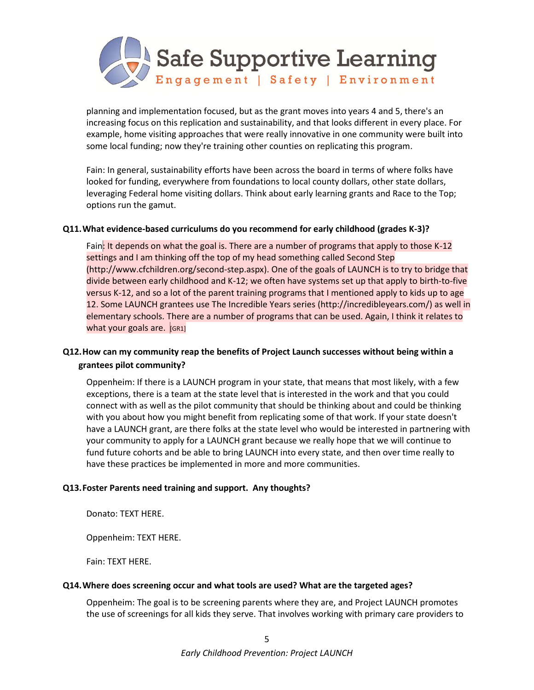

planning and implementation focused, but as the grant moves into years 4 and 5, there's an increasing focus on this replication and sustainability, and that looks different in every place. For example, home visiting approaches that were really innovative in one community were built into some local funding; now they're training other counties on replicating this program.

Fain: In general, sustainability efforts have been across the board in terms of where folks have looked for funding, everywhere from foundations to local county dollars, other state dollars, leveraging Federal home visiting dollars. Think about early learning grants and Race to the Top; options run the gamut.

#### **Q11.What evidence-based curriculums do you recommend for early childhood (grades K-3)?**

Fain: It depends on what the goal is. There are a number of programs that apply to those K-12 settings and I am thinking off the top of my head something called Second Step (http://www.cfchildren.org/second-step.aspx). One of the goals of LAUNCH is to try to bridge that divide between early childhood and K-12; we often have systems set up that apply to birth-to-five versus K-12, and so a lot of the parent training programs that I mentioned apply to kids up to age 12. Some LAUNCH grantees use The Incredible Years series (http://incredibleyears.com/) as well in elementary schools. There are a number of programs that can be used. Again, I think it relates to what your goals are. [GR1]

# **Q12.How can my community reap the benefits of Project Launch successes without being within a grantees pilot community?**

Oppenheim: If there is a LAUNCH program in your state, that means that most likely, with a few exceptions, there is a team at the state level that is interested in the work and that you could connect with as well as the pilot community that should be thinking about and could be thinking with you about how you might benefit from replicating some of that work. If your state doesn't have a LAUNCH grant, are there folks at the state level who would be interested in partnering with your community to apply for a LAUNCH grant because we really hope that we will continue to fund future cohorts and be able to bring LAUNCH into every state, and then over time really to have these practices be implemented in more and more communities.

### **Q13.Foster Parents need training and support. Any thoughts?**

Donato: TEXT HERE.

Oppenheim: TEXT HERE.

Fain: TEXT HERE.

### **Q14.Where does screening occur and what tools are used? What are the targeted ages?**

Oppenheim: The goal is to be screening parents where they are, and Project LAUNCH promotes the use of screenings for all kids they serve. That involves working with primary care providers to